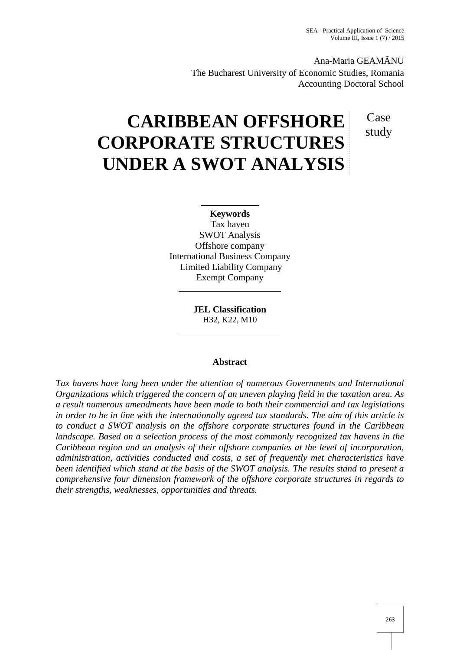Ana-Maria GEAMÃNU The Bucharest University of Economic Studies, Romania Accounting Doctoral School

> Case study

# **CARIBBEAN OFFSHORE CORPORATE STRUCTURES UNDER A SWOT ANALYSIS**

# **Keywords**

Tax haven SWOT Analysis Offshore company International Business Company Limited Liability Company Exempt Company

> **JEL Classification** H32, K22, M10

# **Abstract**

*Tax havens have long been under the attention of numerous Governments and International Organizations which triggered the concern of an uneven playing field in the taxation area. As a result numerous amendments have been made to both their commercial and tax legislations in order to be in line with the internationally agreed tax standards. The aim of this article is to conduct a SWOT analysis on the offshore corporate structures found in the Caribbean landscape. Based on a selection process of the most commonly recognized tax havens in the Caribbean region and an analysis of their offshore companies at the level of incorporation, administration, activities conducted and costs, a set of frequently met characteristics have been identified which stand at the basis of the SWOT analysis. The results stand to present a comprehensive four dimension framework of the offshore corporate structures in regards to their strengths, weaknesses, opportunities and threats.*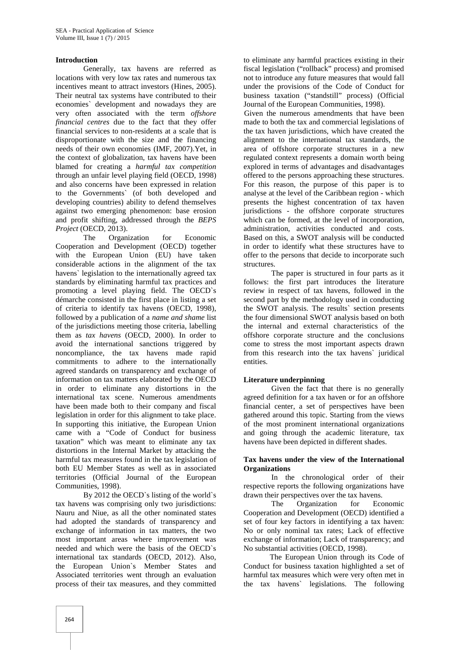## **Introduction**

Generally, tax havens are referred as locations with very low tax rates and numerous tax incentives meant to attract investors (Hines, 2005). Their neutral tax systems have contributed to their economies` development and nowadays they are very often associated with the term *offshore financial centres* due to the fact that they offer financial services to non-residents at a scale that is disproportionate with the size and the financing needs of their own economies (IMF, 2007).Yet, in the context of globalization, tax havens have been blamed for creating a *harmful tax competition* through an unfair level playing field (OECD, 1998) and also concerns have been expressed in relation to the Governments` (of both developed and developing countries) ability to defend themselves against two emerging phenomenon: base erosion and profit shifting, addressed through the *BEPS Project* (OECD, 2013).

The Organization for Economic Cooperation and Development (OECD) together with the European Union (EU) have taken considerable actions in the alignment of the tax havens` legislation to the internationally agreed tax standards by eliminating harmful tax practices and promoting a level playing field. The OECD`s démarche consisted in the first place in listing a set of criteria to identify tax havens (OECD, 1998), followed by a publication of a *name and shame* list of the jurisdictions meeting those criteria, labelling them as *tax havens* (OECD, 2000). In order to avoid the international sanctions triggered by noncompliance, the tax havens made rapid commitments to adhere to the internationally agreed standards on transparency and exchange of information on tax matters elaborated by the OECD in order to eliminate any distortions in the international tax scene. Numerous amendments have been made both to their company and fiscal legislation in order for this alignment to take place. In supporting this initiative, the European Union came with a "Code of Conduct for business taxation" which was meant to eliminate any tax distortions in the Internal Market by attacking the harmful tax measures found in the tax legislation of both EU Member States as well as in associated territories (Official Journal of the European Communities, 1998).

By 2012 the OECD`s listing of the world`s tax havens was comprising only two jurisdictions: Nauru and Niue, as all the other nominated states had adopted the standards of transparency and exchange of information in tax matters, the two most important areas where improvement was needed and which were the basis of the OECD`s international tax standards (OECD, 2012). Also, the European Union`s Member States and Associated territories went through an evaluation process of their tax measures, and they committed

to eliminate any harmful practices existing in their fiscal legislation ("rollback" process) and promised not to introduce any future measures that would fall under the provisions of the Code of Conduct for business taxation ("standstill" process) (Official Journal of the European Communities, 1998).

Given the numerous amendments that have been made to both the tax and commercial legislations of the tax haven jurisdictions, which have created the alignment to the international tax standards, the area of offshore corporate structures in a new regulated context represents a domain worth being explored in terms of advantages and disadvantages offered to the persons approaching these structures. For this reason, the purpose of this paper is to analyse at the level of the Caribbean region - which presents the highest concentration of tax haven jurisdictions - the offshore corporate structures which can be formed, at the level of incorporation, administration, activities conducted and costs. Based on this, a SWOT analysis will be conducted in order to identify what these structures have to offer to the persons that decide to incorporate such structures.

The paper is structured in four parts as it follows: the first part introduces the literature review in respect of tax havens, followed in the second part by the methodology used in conducting the SWOT analysis. The results` section presents the four dimensional SWOT analysis based on both the internal and external characteristics of the offshore corporate structure and the conclusions come to stress the most important aspects drawn from this research into the tax havens` juridical entities.

# **Literature underpinning**

Given the fact that there is no generally agreed definition for a tax haven or for an offshore financial center, a set of perspectives have been gathered around this topic. Starting from the views of the most prominent international organizations and going through the academic literature, tax havens have been depicted in different shades.

#### **Tax havens under the view of the International Organizations**

In the chronological order of their respective reports the following organizations have drawn their perspectives over the tax havens.

The Organization for Economic Cooperation and Development (OECD) identified a set of four key factors in identifying a tax haven: No or only nominal tax rates; Lack of effective exchange of information; Lack of transparency; and No substantial activities (OECD, 1998).

The European Union through its Code of Conduct for business taxation highlighted a set of harmful tax measures which were very often met in the tax havens` legislations. The following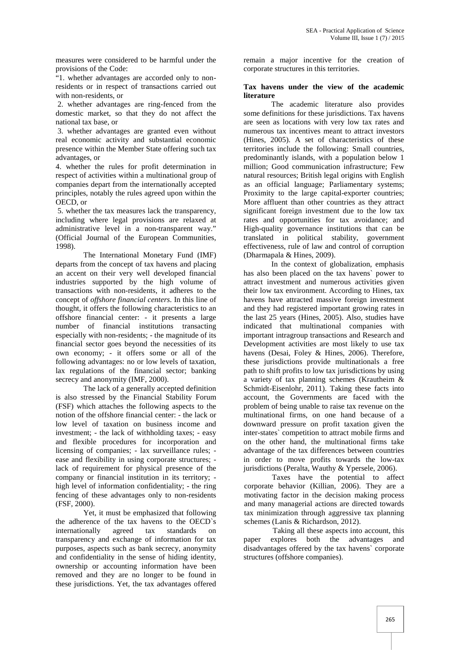measures were considered to be harmful under the provisions of the Code:

"1. whether advantages are accorded only to nonresidents or in respect of transactions carried out with non-residents, or

2. whether advantages are ring-fenced from the domestic market, so that they do not affect the national tax base, or

3. whether advantages are granted even without real economic activity and substantial economic presence within the Member State offering such tax advantages, or

4. whether the rules for profit determination in respect of activities within a multinational group of companies depart from the internationally accepted principles, notably the rules agreed upon within the OECD, or

5. whether the tax measures lack the transparency, including where legal provisions are relaxed at administrative level in a non-transparent way." (Official Journal of the European Communities, 1998).

The International Monetary Fund (IMF) departs from the concept of tax havens and placing an accent on their very well developed financial industries supported by the high volume of transactions with non-residents, it adheres to the concept of *offshore financial centers*. In this line of thought, it offers the following characteristics to an offshore financial center: - it presents a large number of financial institutions transacting especially with non-residents; - the magnitude of its financial sector goes beyond the necessities of its own economy; - it offers some or all of the following advantages: no or low levels of taxation, lax regulations of the financial sector; banking secrecy and anonymity (IMF, 2000).

The lack of a generally accepted definition is also stressed by the Financial Stability Forum (FSF) which attaches the following aspects to the notion of the offshore financial center: - the lack or low level of taxation on business income and investment; - the lack of withholding taxes; - easy and flexible procedures for incorporation and licensing of companies; - lax surveillance rules; ease and flexibility in using corporate structures; lack of requirement for physical presence of the company or financial institution in its territory; high level of information confidentiality; - the ring fencing of these advantages only to non-residents (FSF, 2000).

Yet, it must be emphasized that following the adherence of the tax havens to the OECD`s internationally agreed tax standards on transparency and exchange of information for tax purposes, aspects such as bank secrecy, anonymity and confidentiality in the sense of hiding identity, ownership or accounting information have been removed and they are no longer to be found in these jurisdictions. Yet, the tax advantages offered

remain a major incentive for the creation of corporate structures in this territories.

# **Tax havens under the view of the academic literature**

The academic literature also provides some definitions for these jurisdictions. Tax havens are seen as locations with very low tax rates and numerous tax incentives meant to attract investors (Hines, 2005). A set of characteristics of these territories include the following: Small countries, predominantly islands, with a population below 1 million; Good communication infrastructure; Few natural resources; British legal origins with English as an official language; Parliamentary systems; Proximity to the large capital-exporter countries; More affluent than other countries as they attract significant foreign investment due to the low tax rates and opportunities for tax avoidance; and High-quality governance institutions that can be translated in political stability, government effectiveness, rule of law and control of corruption (Dharmapala & Hines, 2009).

In the context of globalization, emphasis has also been placed on the tax havens` power to attract investment and numerous activities given their low tax environment. According to Hines, tax havens have attracted massive foreign investment and they had registered important growing rates in the last 25 years (Hines, 2005). Also, studies have indicated that multinational companies with important intragroup transactions and Research and Development activities are most likely to use tax havens (Desai, Foley & Hines, 2006). Therefore, these jurisdictions provide multinationals a free path to shift profits to low tax jurisdictions by using a variety of tax planning schemes (Krautheim & Schmidt-Eisenlohr, 2011). Taking these facts into account, the Governments are faced with the problem of being unable to raise tax revenue on the multinational firms, on one hand because of a downward pressure on profit taxation given the inter-states` competition to attract mobile firms and on the other hand, the multinational firms take advantage of the tax differences between countries in order to move profits towards the low-tax jurisdictions (Peralta, Wauthy & Ypersele, 2006).

Taxes have the potential to affect corporate behavior (Killian, 2006). They are a motivating factor in the decision making process and many managerial actions are directed towards tax minimization through aggressive tax planning schemes (Lanis & Richardson, 2012).

Taking all these aspects into account, this paper explores both the advantages and disadvantages offered by the tax havens` corporate structures (offshore companies).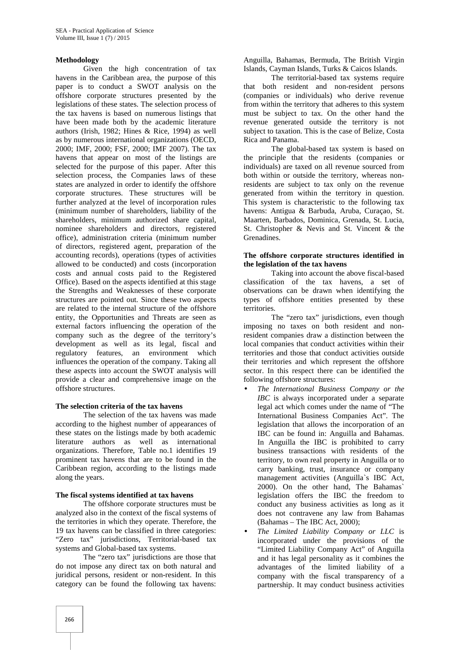#### **Methodology**

Given the high concentration of tax havens in the Caribbean area, the purpose of this paper is to conduct a SWOT analysis on the offshore corporate structures presented by the legislations of these states. The selection process of the tax havens is based on numerous listings that have been made both by the academic literature authors (Irish, 1982; Hines & Rice, 1994) as well as by numerous international organizations (OECD, 2000; IMF, 2000; FSF, 2000; IMF 2007). The tax havens that appear on most of the listings are selected for the purpose of this paper. After this selection process, the Companies laws of these states are analyzed in order to identify the offshore corporate structures. These structures will be further analyzed at the level of incorporation rules (minimum number of shareholders, liability of the shareholders, minimum authorized share capital, nominee shareholders and directors, registered office), administration criteria (minimum number of directors, registered agent, preparation of the accounting records), operations (types of activities allowed to be conducted) and costs (incorporation costs and annual costs paid to the Registered Office). Based on the aspects identified at this stage the Strengths and Weaknesses of these corporate structures are pointed out. Since these two aspects are related to the internal structure of the offshore entity, the Opportunities and Threats are seen as external factors influencing the operation of the company such as the degree of the territory's development as well as its legal, fiscal and regulatory features, an environment which influences the operation of the company. Taking all these aspects into account the SWOT analysis will provide a clear and comprehensive image on the offshore structures.

# **The selection criteria of the tax havens**

The selection of the tax havens was made according to the highest number of appearances of these states on the listings made by both academic literature authors as well as international organizations. Therefore, Table no.1 identifies 19 prominent tax havens that are to be found in the Caribbean region, according to the listings made along the years.

#### **The fiscal systems identified at tax havens**

The offshore corporate structures must be analyzed also in the context of the fiscal systems of the territories in which they operate. Therefore, the 19 tax havens can be classified in three categories: "Zero tax" jurisdictions, Territorial-based tax systems and Global-based tax systems.

The "zero tax" jurisdictions are those that do not impose any direct tax on both natural and juridical persons, resident or non-resident. In this category can be found the following tax havens:

Anguilla, Bahamas, Bermuda, The British Virgin Islands, Cayman Islands, Turks & Caicos Islands.

The territorial-based tax systems require that both resident and non-resident persons (companies or individuals) who derive revenue from within the territory that adheres to this system must be subject to tax. On the other hand the revenue generated outside the territory is not subject to taxation. This is the case of Belize, Costa Rica and Panama.

The global-based tax system is based on the principle that the residents (companies or individuals) are taxed on all revenue sourced from both within or outside the territory, whereas nonresidents are subject to tax only on the revenue generated from within the territory in question. This system is characteristic to the following tax havens: Antigua & Barbuda, Aruba, Curaçao, St. Maarten, Barbados, Dominica, Grenada, St. Lucia, St. Christopher & Nevis and St. Vincent & the Grenadines.

#### **The offshore corporate structures identified in the legislation of the tax havens**

Taking into account the above fiscal-based classification of the tax havens, a set of observations can be drawn when identifying the types of offshore entities presented by these territories.

The "zero tax" jurisdictions, even though imposing no taxes on both resident and nonresident companies draw a distinction between the local companies that conduct activities within their territories and those that conduct activities outside their territories and which represent the offshore sector. In this respect there can be identified the following offshore structures:

- *The International Business Company or the IBC* is always incorporated under a separate legal act which comes under the name of "The International Business Companies Act". The legislation that allows the incorporation of an IBC can be found in: Anguilla and Bahamas. In Anguilla the IBC is prohibited to carry business transactions with residents of the territory, to own real property in Anguilla or to carry banking, trust, insurance or company management activities (Anguilla`s IBC Act, 2000). On the other hand, The Bahamas` legislation offers the IBC the freedom to conduct any business activities as long as it does not contravene any law from Bahamas (Bahamas – The IBC Act, 2000);
- *The Limited Liability Company or LLC* is incorporated under the provisions of the "Limited Liability Company Act" of Anguilla and it has legal personality as it combines the advantages of the limited liability of a company with the fiscal transparency of a partnership. It may conduct business activities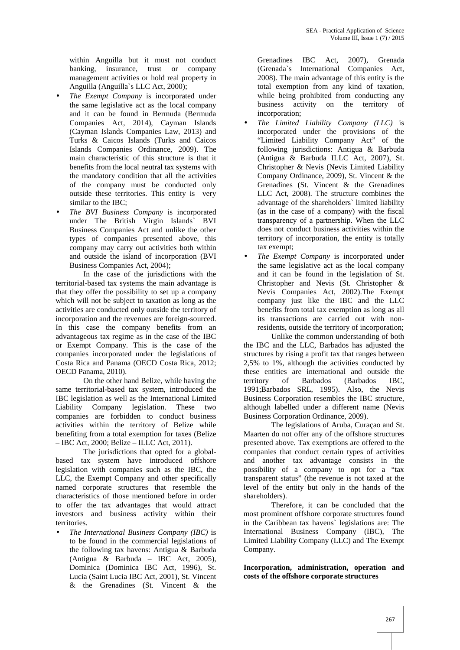within Anguilla but it must not conduct banking, insurance, trust or company management activities or hold real property in Anguilla (Anguilla`s LLC Act, 2000);

- *The Exempt Company* is incorporated under the same legislative act as the local company and it can be found in Bermuda (Bermuda Companies Act, 2014), Cayman Islands (Cayman Islands Companies Law, 2013) and Turks & Caicos Islands (Turks and Caicos Islands Companies Ordinance, 2009). The main characteristic of this structure is that it benefits from the local neutral tax systems with the mandatory condition that all the activities of the company must be conducted only outside these territories. This entity is very similar to the IBC;
- *The BVI Business Company* is incorporated under The British Virgin Islands` BVI Business Companies Act and unlike the other types of companies presented above, this company may carry out activities both within and outside the island of incorporation (BVI Business Companies Act, 2004);

In the case of the jurisdictions with the territorial-based tax systems the main advantage is that they offer the possibility to set up a company which will not be subject to taxation as long as the activities are conducted only outside the territory of incorporation and the revenues are foreign-sourced. In this case the company benefits from an advantageous tax regime as in the case of the IBC or Exempt Company. This is the case of the companies incorporated under the legislations of Costa Rica and Panama (OECD Costa Rica, 2012; OECD Panama, 2010).

On the other hand Belize, while having the same territorial-based tax system, introduced the IBC legislation as well as the International Limited Liability Company legislation. These two companies are forbidden to conduct business activities within the territory of Belize while benefiting from a total exemption for taxes (Belize – IBC Act, 2000; Belize – ILLC Act, 2011).

The jurisdictions that opted for a global based tax system have introduced offshore legislation with companies such as the IBC, the LLC, the Exempt Company and other specifically named corporate structures that resemble the characteristics of those mentioned before in order to offer the tax advantages that would attract investors and business activity within their territories.

 *The International Business Company (IBC)* is to be found in the commercial legislations of the following tax havens: Antigua & Barbuda (Antigua & Barbuda – IBC Act, 2005), Dominica (Dominica IBC Act, 1996), St. Lucia (Saint Lucia IBC Act, 2001), St. Vincent & the Grenadines (St. Vincent & the

Grenadines IBC Act, 2007), Grenada (Grenada`s International Companies Act, 2008). The main advantage of this entity is the total exemption from any kind of taxation, while being prohibited from conducting any business activity on the territory of incorporation;

- *The Limited Liability Company (LLC)* is incorporated under the provisions of the "Limited Liability Company Act" of the following jurisdictions: Antigua & Barbuda (Antigua & Barbuda ILLC Act, 2007), St. Christopher & Nevis (Nevis Limited Liability Company Ordinance, 2009), St. Vincent & the Grenadines (St. Vincent & the Grenadines LLC Act, 2008). The structure combines the advantage of the shareholders` limited liability (as in the case of a company) with the fiscal transparency of a partnership. When the LLC does not conduct business activities within the territory of incorporation, the entity is totally tax exempt;
- *The Exempt Company* is incorporated under the same legislative act as the local company and it can be found in the legislation of St. Christopher and Nevis (St. Christopher & Nevis Companies Act, 2002).The Exempt company just like the IBC and the LLC benefits from total tax exemption as long as all its transactions are carried out with nonresidents, outside the territory of incorporation;

Unlike the common understanding of both the IBC and the LLC, Barbados has adjusted the structures by rising a profit tax that ranges between 2,5% to 1%, although the activities conducted by these entities are international and outside the territory of Barbados (Barbados IBC, 1991;Barbados SRL, 1995). Also, the Nevis Business Corporation resembles the IBC structure, although labelled under a different name (Nevis Business Corporation Ordinance, 2009).

The legislations of Aruba, Curaçao and St. Maarten do not offer any of the offshore structures presented above. Tax exemptions are offered to the companies that conduct certain types of activities and another tax advantage consists in the possibility of a company to opt for a "tax transparent status" (the revenue is not taxed at the level of the entity but only in the hands of the shareholders).

Therefore, it can be concluded that the most prominent offshore corporate structures found in the Caribbean tax havens` legislations are: The International Business Company (IBC), The Limited Liability Company (LLC) and The Exempt Company.

**Incorporation, administration, operation and costs of the offshore corporate structures**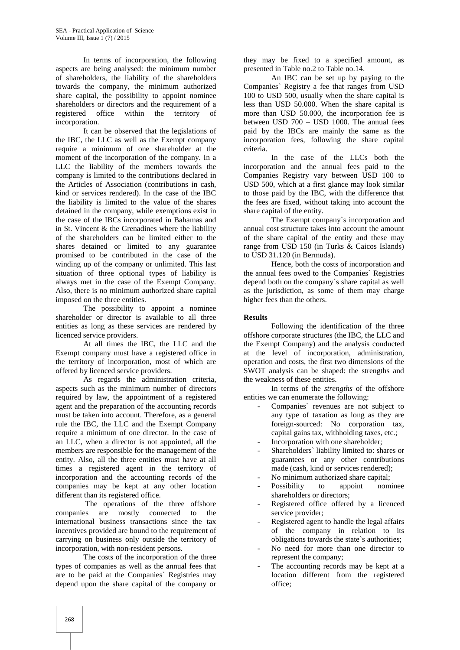In terms of incorporation, the following aspects are being analysed: the minimum number of shareholders, the liability of the shareholders towards the company, the minimum authorized share capital, the possibility to appoint nominee shareholders or directors and the requirement of a registered office within the territory of incorporation.

It can be observed that the legislations of the IBC, the LLC as well as the Exempt company require a minimum of one shareholder at the moment of the incorporation of the company. In a LLC the liability of the members towards the company is limited to the contributions declared in the Articles of Association (contributions in cash, kind or services rendered). In the case of the IBC the liability is limited to the value of the shares detained in the company, while exemptions exist in the case of the IBCs incorporated in Bahamas and in St. Vincent & the Grenadines where the liability of the shareholders can be limited either to the shares detained or limited to any guarantee promised to be contributed in the case of the winding up of the company or unlimited. This last situation of three optional types of liability is always met in the case of the Exempt Company. Also, there is no minimum authorized share capital imposed on the three entities.

The possibility to appoint a nominee shareholder or director is available to all three entities as long as these services are rendered by licenced service providers.

At all times the IBC, the LLC and the Exempt company must have a registered office in the territory of incorporation, most of which are offered by licenced service providers.

As regards the administration criteria, aspects such as the minimum number of directors required by law, the appointment of a registered agent and the preparation of the accounting records must be taken into account. Therefore, as a general rule the IBC, the LLC and the Exempt Company require a minimum of one director. In the case of an LLC, when a director is not appointed, all the members are responsible for the management of the entity. Also, all the three entities must have at all times a registered agent in the territory of incorporation and the accounting records of the companies may be kept at any other location different than its registered office.

The operations of the three offshore companies are mostly connected to the international business transactions since the tax incentives provided are bound to the requirement of carrying on business only outside the territory of incorporation, with non-resident persons.

The costs of the incorporation of the three types of companies as well as the annual fees that are to be paid at the Companies` Registries may depend upon the share capital of the company or

they may be fixed to a specified amount, as presented in Table no.2 to Table no.14.

An IBC can be set up by paying to the Companies` Registry a fee that ranges from USD 100 to USD 500, usually when the share capital is less than USD 50.000. When the share capital is more than USD 50.000, the incorporation fee is between USD 700 – USD 1000. The annual fees paid by the IBCs are mainly the same as the incorporation fees, following the share capital criteria.

In the case of the LLCs both the incorporation and the annual fees paid to the Companies Registry vary between USD 100 to USD 500, which at a first glance may look similar to those paid by the IBC, with the difference that the fees are fixed, without taking into account the share capital of the entity.

The Exempt company`s incorporation and annual cost structure takes into account the amount of the share capital of the entity and these may range from USD 150 (in Turks & Caicos Islands) to USD 31.120 (in Bermuda).

Hence, both the costs of incorporation and the annual fees owed to the Companies` Registries depend both on the company`s share capital as well as the jurisdiction, as some of them may charge higher fees than the others.

# **Results**

Following the identification of the three offshore corporate structures (the IBC, the LLC and the Exempt Company) and the analysis conducted at the level of incorporation, administration, operation and costs, the first two dimensions of the SWOT analysis can be shaped: the strengths and the weakness of these entities.

In terms of the *strengths* of the offshore entities we can enumerate the following:

- Companies` revenues are not subject to any type of taxation as long as they are foreign-sourced: No corporation tax, capital gains tax, withholding taxes, etc.;
- Incorporation with one shareholder;
- Shareholders' liability limited to: shares or guarantees or any other contributions made (cash, kind or services rendered);
- No minimum authorized share capital;
- Possibility to appoint nominee shareholders or directors;
- Registered office offered by a licenced service provider:
- Registered agent to handle the legal affairs of the company in relation to its obligations towards the state`s authorities;
- No need for more than one director to represent the company;
- The accounting records may be kept at a location different from the registered office;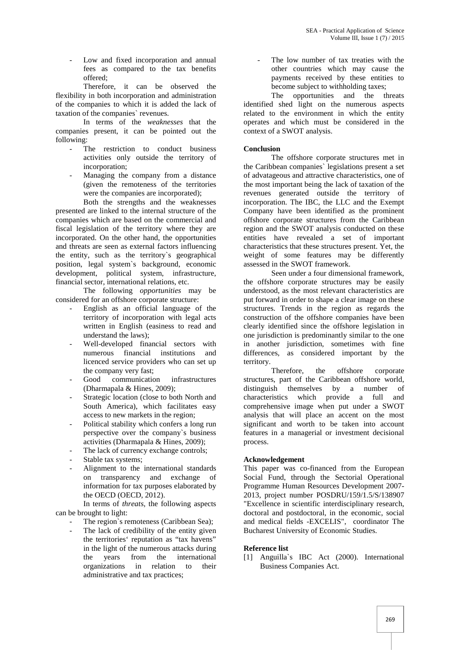Low and fixed incorporation and annual fees as compared to the tax benefits offered;

Therefore, it can be observed the flexibility in both incorporation and administration of the companies to which it is added the lack of taxation of the companies` revenues.

In terms of the *weaknesses* that the companies present, it can be pointed out the following:

- The restriction to conduct business activities only outside the territory of incorporation;
- Managing the company from a distance (given the remoteness of the territories were the companies are incorporated);

Both the strengths and the weaknesses presented are linked to the internal structure of the companies which are based on the commercial and fiscal legislation of the territory where they are incorporated. On the other hand, the opportunities and threats are seen as external factors influencing the entity, such as the territory`s geographical position, legal system`s background, economic development, political system, infrastructure, financial sector, international relations, etc.

The following *opportunities* may be considered for an offshore corporate structure:

- English as an official language of the territory of incorporation with legal acts written in English (easiness to read and understand the laws);
- Well-developed financial sectors with numerous financial institutions and licenced service providers who can set up the company very fast;
- Good communication infrastructures (Dharmapala & Hines, 2009);
- Strategic location (close to both North and South America), which facilitates easy access to new markets in the region;
- Political stability which confers a long run perspective over the company`s business activities (Dharmapala & Hines, 2009);
- The lack of currency exchange controls;
- Stable tax systems;
- Alignment to the international standards on transparency and exchange of information for tax purposes elaborated by the OECD (OECD, 2012).

In terms of *threats*, the following aspects can be brought to light:

- The region`s remoteness (Caribbean Sea);
- The lack of credibility of the entity given the territories` reputation as "tax havens" in the light of the numerous attacks during the years from the international organizations in relation to their administrative and tax practices;

The low number of tax treaties with the other countries which may cause the payments received by these entities to become subject to withholding taxes;

The opportunities and the threats identified shed light on the numerous aspects related to the environment in which the entity operates and which must be considered in the context of a SWOT analysis.

# **Conclusion**

The offshore corporate structures met in the Caribbean companies` legislations present a set of advatageous and attractive characteristics, one of the most important being the lack of taxation of the revenues generated outside the territory of incorporation. The IBC, the LLC and the Exempt Company have been identified as the prominent offshore corporate structures from the Caribbean region and the SWOT analysis conducted on these entities have revealed a set of important characteristics that these structures present. Yet, the weight of some features may be differently assessed in the SWOT framework.

Seen under a four dimensional framework, the offshore corporate structures may be easily understood, as the most relevant characteristics are put forward in order to shape a clear image on these structures. Trends in the region as regards the construction of the offshore companies have been clearly identified since the offshore legislation in one jurisdiction is predominantly similar to the one in another jurisdiction, sometimes with fine differences, as considered important by the territory.

Therefore, the offshore corporate structures, part of the Caribbean offshore world, distinguish themselves by a number of characteristics which provide a full and comprehensive image when put under a SWOT analysis that will place an accent on the most significant and worth to be taken into account features in a managerial or investment decisional process.

# **Acknowledgement**

This paper was co-financed from the European Social Fund, through the Sectorial Operational Programme Human Resources Development 2007- 2013, project number POSDRU/159/1.5/S/138907 "Excellence in scientific interdisciplinary research, doctoral and postdoctoral, in the economic, social and medical fields -EXCELIS", coordinator The Bucharest University of Economic Studies.

# **Reference list**

[1] Anguilla`s IBC Act (2000). International Business Companies Act.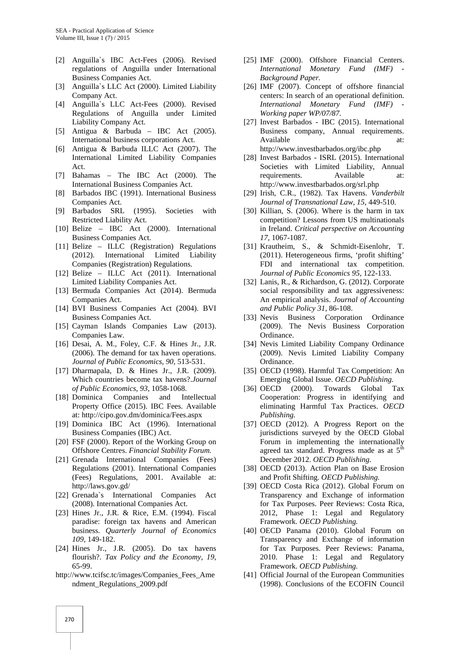- [2] Anguilla`s IBC Act-Fees (2006). Revised regulations of Anguilla under International Business Companies Act.
- [3] Anguilla`s LLC Act (2000). Limited Liability Company Act.
- [4] Anguilla`s LLC Act-Fees (2000). Revised Regulations of Anguilla under Limited Liability Company Act.
- [5] Antigua & Barbuda IBC Act (2005). International business corporations Act.
- [6] Antigua & Barbuda ILLC Act (2007). The International Limited Liability Companies Act.
- [7] Bahamas The IBC Act (2000). The International Business Companies Act.
- [8] Barbados IBC (1991). International Business Companies Act.
- [9] Barbados SRL (1995). Societies with Restricted Liability Act.
- [10] Belize IBC Act (2000). International Business Companies Act.
- [11] Belize ILLC (Registration) Regulations (2012). International Limited Liability Companies (Registration) Regulations.
- [12] Belize ILLC Act (2011). International Limited Liability Companies Act.
- [13] Bermuda Companies Act (2014). Bermuda Companies Act.
- [14] BVI Business Companies Act (2004). BVI Business Companies Act.
- [15] Cayman Islands Companies Law (2013). Companies Law.
- [16] Desai, A. M., Foley, C.F. & Hines Jr., J.R. (2006). The demand for tax haven operations. *Journal of Public Economics, 90,* 513-531.
- [17] Dharmapala, D. & Hines Jr., J.R. (2009). Which countries become tax havens?.*Journal of Public Economics, 93*, 1058-1068.
- [18] Dominica Companies and Intellectual Property Office (2015). IBC Fees. Available at: http://cipo.gov.dm/dominica/Fees.aspx
- [19] Dominica IBC Act (1996). International Business Companies (IBC) Act.
- [20] FSF (2000). Report of the Working Group on Offshore Centres. *Financial Stability Forum.*
- [21] Grenada International Companies (Fees) Regulations (2001). International Companies (Fees) Regulations, 2001. Available at: http://laws.gov.gd/
- [22] Grenada`s International Companies Act (2008). International Companies Act.
- [23] Hines Jr., J.R. & Rice, E.M. (1994). Fiscal paradise: foreign tax havens and American business. *Quarterly Journal of Economics 109*, 149-182.
- [24] Hines Jr., J.R. (2005). Do tax havens flourish?. *Tax Policy and the Economy, 19,* 65-99.
- http://www.tcifsc.tc/images/Companies\_Fees\_Ame ndment\_Regulations\_2009.pdf
- [25] IMF (2000). Offshore Financial Centers. *International Monetary Fund (IMF) - Background Paper.*
- [26] IMF (2007). Concept of offshore financial centers: In search of an operational definition. *International Monetary Fund (IMF) - Working paper WP/07/87.*
- [27] Invest Barbados IBC (2015). International Business company, Annual requirements. Available at: http://www.investbarbados.org/ibc.php
- [28] Invest Barbados ISRL (2015). International Societies with Limited Liability, Annual requirements. Available at: http://www.investbarbados.org/srl.php
- [29] Irish, C.R., (1982). Tax Havens. *Vanderbilt Journal of Transnational Law, 15*, 449-510.
- [30] Killian, S. (2006). Where is the harm in tax competition? Lessons from US multinationals in Ireland. *Critical perspective on Accounting 17,* 1067-1087.
- [31] Krautheim, S., & Schmidt-Eisenlohr, T. (2011). Heterogeneous firms, 'profit shifting' FDI and international tax competition. *Journal of Public Economics 95,* 122-133.
- [32] Lanis, R., & Richardson, G. (2012). Corporate social responsibility and tax aggressiveness: An empirical analysis. *Journal of Accounting and Public Policy 31,* 86-108.
- [33] Nevis Business Corporation Ordinance (2009). The Nevis Business Corporation Ordinance.
- [34] Nevis Limited Liability Company Ordinance (2009). Nevis Limited Liability Company Ordinance.
- [35] OECD (1998). Harmful Tax Competition: An Emerging Global Issue. *OECD Publishing.*
- [36] OECD (2000). Towards Global Tax Cooperation: Progress in identifying and eliminating Harmful Tax Practices. *OECD Publishing.*
- [37] OECD (2012). A Progress Report on the jurisdictions surveyed by the OECD Global Forum in implementing the internationally agreed tax standard. Progress made as at 5<sup>th</sup> December 2012. *OECD Publishing.*
- [38] OECD (2013). Action Plan on Base Erosion and Profit Shifting. *OECD Publishing.*
- [39] OECD Costa Rica (2012). Global Forum on Transparency and Exchange of information for Tax Purposes. Peer Reviews: Costa Rica, 2012, Phase 1: Legal and Regulatory Framework. *OECD Publishing.*
- [40] OECD Panama (2010). Global Forum on Transparency and Exchange of information for Tax Purposes. Peer Reviews: Panama, 2010. Phase 1: Legal and Regulatory Framework. *OECD Publishing.*
- [41] Official Journal of the European Communities (1998). Conclusions of the ECOFIN Council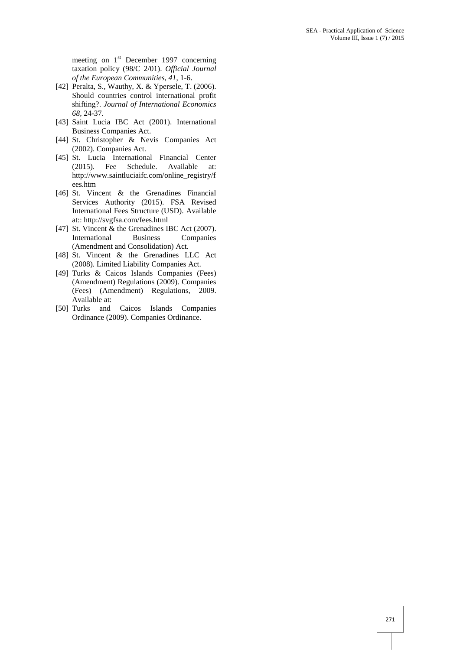meeting on  $1<sup>st</sup>$  December 1997 concerning taxation policy (98/C 2/01). *Official Journal of the European Communities, 41*, 1-6.

- [42] Peralta, S., Wauthy, X. & Ypersele, T. (2006). Should countries control international profit shifting?. *Journal of International Economics 68,* 24-37.
- [43] Saint Lucia IBC Act (2001). International Business Companies Act.
- [44] St. Christopher & Nevis Companies Act (2002). Companies Act.
- [45] St. Lucia International Financial Center (2015). Fee Schedule. Available at: http://www.saintluciaifc.com/online\_registry/f ees.htm
- [46] St. Vincent  $\&$  the Grenadines Financial Services Authority (2015). FSA Revised International Fees Structure (USD). Available at:: http://svgfsa.com/fees.html
- [47] St. Vincent & the Grenadines IBC Act (2007). International Business Companies (Amendment and Consolidation) Act.
- [48] St. Vincent & the Grenadines LLC Act (2008). Limited Liability Companies Act.
- [49] Turks & Caicos Islands Companies (Fees) (Amendment) Regulations (2009). Companies (Fees) (Amendment) Regulations, 2009. Available at:<br>[50] Turks and
- Caicos Islands Companies Ordinance (2009). Companies Ordinance.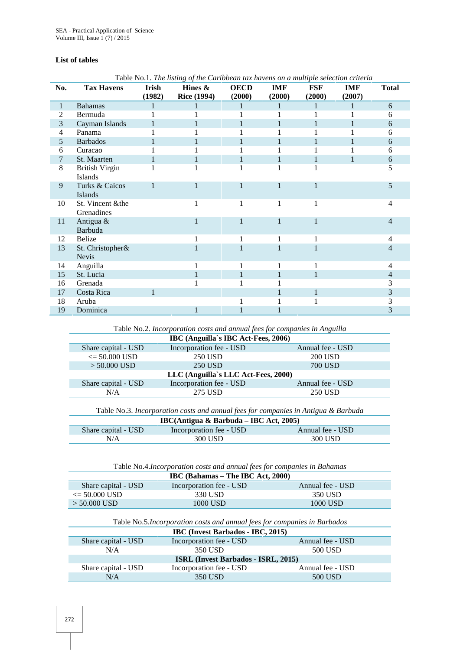# **List of tables**

| No.            | <b>Tax Havens</b>                | Irish        | Hines &            | <b>OECD</b> | <b>IMF</b>   | <b>FSF</b> | <b>IMF</b>   | <b>Total</b>   |
|----------------|----------------------------------|--------------|--------------------|-------------|--------------|------------|--------------|----------------|
|                |                                  | (1982)       | <b>Rice (1994)</b> | (2000)      | (2000)       | (2000)     | (2007)       |                |
| $\mathbf{1}$   | <b>Bahamas</b>                   |              |                    |             | $\mathbf{1}$ |            | $\mathbf{1}$ | 6              |
| $\overline{c}$ | Bermuda                          |              |                    |             |              |            |              | 6              |
| 3              | Cayman Islands                   |              |                    |             |              |            |              | 6              |
| 4              | Panama                           |              |                    |             |              |            |              | 6              |
| 5              | <b>Barbados</b>                  |              |                    |             |              |            |              | 6              |
| 6              | Curacao                          |              |                    |             |              |            |              | 6              |
| 7              | St. Maarten                      |              |                    |             | 1            |            | 1            | 6              |
| 8              | <b>British Virgin</b><br>Islands |              |                    | 1           | 1            | 1          |              | 5              |
| 9              | Turks & Caicos<br>Islands        | $\mathbf{1}$ |                    | 1           | $\mathbf{1}$ | 1          |              | 5              |
| 10             | St. Vincent &the<br>Grenadines   |              | 1                  | 1           | 1            | 1          |              | 4              |
| 11             | Antigua &<br>Barbuda             |              |                    |             | 1            |            |              | $\overline{4}$ |
| 12             | Belize                           |              |                    |             |              |            |              | 4              |
| 13             | St. Christopher&<br><b>Nevis</b> |              |                    |             |              |            |              | 4              |
| 14             | Anguilla                         |              |                    |             |              |            |              | 4              |
| 15             | St. Lucia                        |              |                    |             |              | 1          |              | $\overline{4}$ |
| 16             | Grenada                          |              |                    |             |              |            |              | 3              |
| 17             | Costa Rica                       | $\mathbf{1}$ |                    |             |              | 1          |              | 3              |
| 18             | Aruba                            |              |                    |             |              |            |              | 3              |
| 19             | Dominica                         |              |                    |             |              |            |              | 3              |

Table No.1. *The listing of the Caribbean tax havens on a multiple selection criteria*

Table No.2. *Incorporation costs and annual fees for companies in Anguilla*

|                                     |  | IBC (Anguilla's IBC Act-Fees, 2006) |                  |  |
|-------------------------------------|--|-------------------------------------|------------------|--|
| Share capital - USD                 |  | Incorporation fee - USD             | Annual fee - USD |  |
| $\epsilon = 50.000$ USD             |  | 250 USD                             | <b>200 USD</b>   |  |
| $> 50.000$ USD                      |  | 250 USD                             | 700 USD          |  |
| LLC (Anguilla's LLC Act-Fees, 2000) |  |                                     |                  |  |
| Share capital - USD                 |  | Incorporation fee - USD             | Annual fee - USD |  |
| N/A                                 |  | 275 USD                             | 250 USD          |  |
|                                     |  |                                     |                  |  |

Table No.3. *Incorporation costs and annual fees for companies in Antigua & Barbuda*

| IBC(Antigua & Barbuda – IBC Act, 2005) |                         |                  |  |  |
|----------------------------------------|-------------------------|------------------|--|--|
| Share capital - USD                    | Incorporation fee - USD | Annual fee - USD |  |  |
| N/A                                    | 300 USD                 | 300 USD          |  |  |

Table No.4.*Incorporation costs and annual fees for companies in Bahamas*

| IBC (Bahamas – The IBC Act, 2000) |                         |                  |  |
|-----------------------------------|-------------------------|------------------|--|
| Share capital - USD               | Incorporation fee - USD | Annual fee - USD |  |
| $\epsilon = 50.000$ USD           | 330 USD                 | 350 USD          |  |
| $> 50.000$ USD                    | 1000 USD                | 1000 USD         |  |

Table No.5.*Incorporation costs and annual fees for companies in Barbados*

| <b>IBC</b> (Invest Barbados - IBC, 2015) |                                            |                  |  |  |
|------------------------------------------|--------------------------------------------|------------------|--|--|
| Share capital - USD                      | Incorporation fee - USD                    | Annual fee - USD |  |  |
| N/A                                      | 350 USD                                    | 500 USD          |  |  |
|                                          | <b>ISRL</b> (Invest Barbados - ISRL, 2015) |                  |  |  |
| Share capital - USD                      | Incorporation fee - USD                    | Annual fee - USD |  |  |
| N/A                                      | 350 USD                                    | 500 USD          |  |  |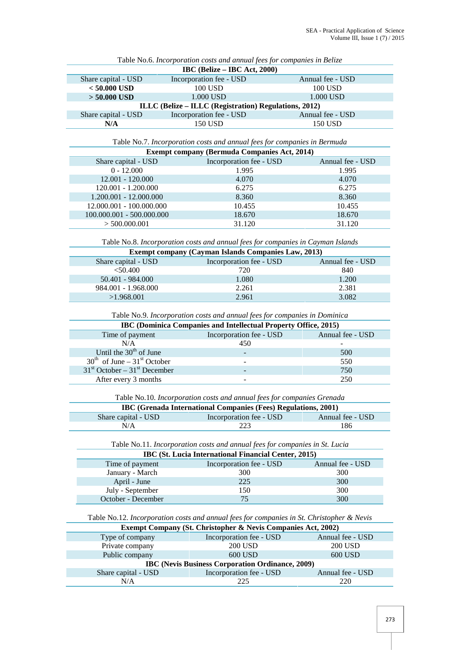| IBC (Belize – IBC Act, 2000)                          |                         |                  |  |  |  |
|-------------------------------------------------------|-------------------------|------------------|--|--|--|
| Share capital - USD                                   | Incorporation fee - USD | Annual fee - USD |  |  |  |
| $< 50.000$ USD                                        | 100 USD                 | 100 USD          |  |  |  |
| $> 50,000$ USD                                        | 1.000 USD               | 1.000 USD        |  |  |  |
| ILLC (Belize – ILLC (Registration) Regulations, 2012) |                         |                  |  |  |  |
| Share capital - USD                                   | Incorporation fee - USD | Annual fee - USD |  |  |  |
| N/A                                                   | 150 USD                 | 150 USD          |  |  |  |

Table No.6. *Incorporation costs and annual fees for companies in Belize*

Table No.7. *Incorporation costs and annual fees for companies in Bermuda*

| <b>Exempt company (Bermuda Companies Act, 2014)</b> |                  |  |  |  |
|-----------------------------------------------------|------------------|--|--|--|
| Incorporation fee - USD                             | Annual fee - USD |  |  |  |
| 1.995                                               | 1.995            |  |  |  |
| 4.070                                               | 4.070            |  |  |  |
| 6.275                                               | 6.275            |  |  |  |
| 8.360                                               | 8.360            |  |  |  |
| 10.455                                              | 10.455           |  |  |  |
| 18.670                                              | 18.670           |  |  |  |
| 31.120                                              | 31.120           |  |  |  |
|                                                     |                  |  |  |  |

Table No.8. *Incorporation costs and annual fees for companies in Cayman Islands*

| <b>Exempt company (Cayman Islands Companies Law, 2013)</b> |                         |                  |  |  |
|------------------------------------------------------------|-------------------------|------------------|--|--|
| Share capital - USD                                        | Incorporation fee - USD | Annual fee - USD |  |  |
| $<$ 50.400                                                 | 720                     | 840              |  |  |
| $50.401 - 984.000$                                         | 1.080                   | 1.200            |  |  |
| 984.001 - 1.968.000                                        | 2.261                   | 2.381            |  |  |
| >1.968,001                                                 | 2.961                   | 3.082            |  |  |

#### Table No.9. *Incorporation costs and annual fees for companies in Dominica*

| <b>IBC</b> (Dominica Companies and Intellectual Property Office, 2015) |                         |                  |  |  |
|------------------------------------------------------------------------|-------------------------|------------------|--|--|
| Time of payment                                                        | Incorporation fee - USD | Annual fee - USD |  |  |
| N/A                                                                    | 450                     |                  |  |  |
| Until the $30th$ of June                                               |                         | 500              |  |  |
| $30th$ of June – $31st$ October                                        |                         | 550              |  |  |
| $31st$ October – $31st$ December                                       |                         | 750              |  |  |
| After every 3 months                                                   |                         | 250              |  |  |

| Table No.10. Incorporation costs and annual fees for companies Grenada |                         |                  |  |  |
|------------------------------------------------------------------------|-------------------------|------------------|--|--|
| IBC (Grenada International Companies (Fees) Regulations, 2001)         |                         |                  |  |  |
| Share capital - USD                                                    | Incorporation fee - USD | Annual fee - USD |  |  |
| N/A                                                                    | 223                     | 186              |  |  |

Table No.11. *Incorporation costs and annual fees for companies in St. Lucia*

| IBC (St. Lucia International Financial Center, 2015) |                         |                  |  |  |
|------------------------------------------------------|-------------------------|------------------|--|--|
| Time of payment                                      | Incorporation fee - USD | Annual fee - USD |  |  |
| January - March                                      | 300                     | 300              |  |  |
| April - June                                         | 225                     | 300              |  |  |
| July - September                                     | l 50                    | 300              |  |  |
| October - December                                   | 75                      | 300              |  |  |

Table No.12. *Incorporation costs and annual fees for companies in St. Christopher & Nevis*

| <b>Exempt Company (St. Christopher &amp; Nevis Companies Act, 2002)</b> |                                                         |                  |  |  |
|-------------------------------------------------------------------------|---------------------------------------------------------|------------------|--|--|
| Type of company                                                         | Incorporation fee - USD                                 | Annual fee - USD |  |  |
| Private company                                                         | <b>200 USD</b>                                          | <b>200 USD</b>   |  |  |
| Public company                                                          | 600 USD                                                 | 600 USD          |  |  |
|                                                                         | <b>IBC</b> (Nevis Business Corporation Ordinance, 2009) |                  |  |  |
| Share capital - USD                                                     | Incorporation fee - USD                                 | Annual fee - USD |  |  |
| N/A                                                                     | 225                                                     | 220              |  |  |